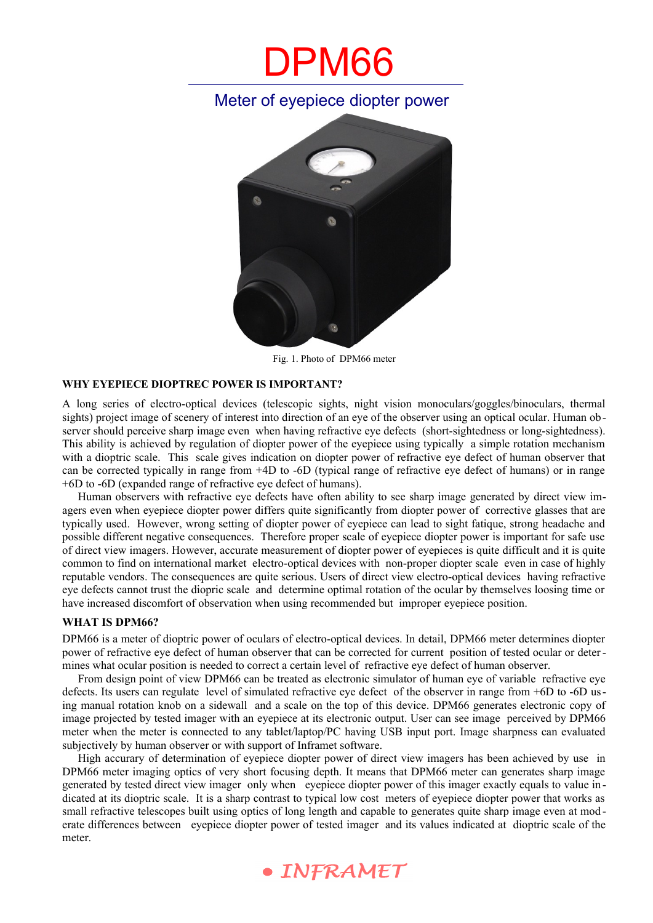# DPM66

### Meter of eyepiece diopter power



Fig. 1. Photo of DPM66 meter

### **WHY EYEPIECE DIOPTREC POWER IS IMPORTANT?**

A long series of electro-optical devices (telescopic sights, night vision monoculars/goggles/binoculars, thermal sights) project image of scenery of interest into direction of an eye of the observer using an optical ocular. Human observer should perceive sharp image even when having refractive eye defects (short-sightedness or long-sightedness). This ability is achieved by regulation of diopter power of the eyepiece using typically a simple rotation mechanism with a dioptric scale. This scale gives indication on diopter power of refractive eye defect of human observer that can be corrected typically in range from +4D to -6D (typical range of refractive eye defect of humans) or in range +6D to -6D (expanded range of refractive eye defect of humans).

Human observers with refractive eye defects have often ability to see sharp image generated by direct view imagers even when eyepiece diopter power differs quite significantly from diopter power of corrective glasses that are typically used. However, wrong setting of diopter power of eyepiece can lead to sight fatique, strong headache and possible different negative consequences. Therefore proper scale of eyepiece diopter power is important for safe use of direct view imagers. However, accurate measurement of diopter power of eyepieces is quite difficult and it is quite common to find on international market electro-optical devices with non-proper diopter scale even in case of highly reputable vendors. The consequences are quite serious. Users of direct view electro-optical devices having refractive eye defects cannot trust the diopric scale and determine optimal rotation of the ocular by themselves loosing time or have increased discomfort of observation when using recommended but improper eyepiece position.

### **WHAT IS DPM66?**

DPM66 is a meter of dioptric power of oculars of electro-optical devices. In detail, DPM66 meter determines diopter power of refractive eye defect of human observer that can be corrected for current position of tested ocular or determines what ocular position is needed to correct a certain level of refractive eye defect of human observer.

From design point of view DPM66 can be treated as electronic simulator of human eye of variable refractive eye defects. Its users can regulate level of simulated refractive eye defect of the observer in range from +6D to -6D using manual rotation knob on a sidewall and a scale on the top of this device. DPM66 generates electronic copy of image projected by tested imager with an eyepiece at its electronic output. User can see image perceived by DPM66 meter when the meter is connected to any tablet/laptop/PC having USB input port. Image sharpness can evaluated subjectively by human observer or with support of Inframet software.

High accurary of determination of eyepiece diopter power of direct view imagers has been achieved by use in DPM66 meter imaging optics of very short focusing depth. It means that DPM66 meter can generates sharp image generated by tested direct view imager only when eyepiece diopter power of this imager exactly equals to value in dicated at its dioptric scale. It is a sharp contrast to typical low cost meters of eyepiece diopter power that works as small refractive telescopes built using optics of long length and capable to generates quite sharp image even at mod erate differences between eyepiece diopter power of tested imager and its values indicated at dioptric scale of the meter.